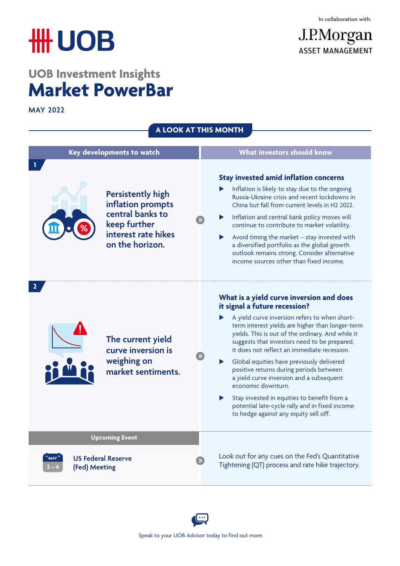J.P.Morgan

**ASSET MANAGEMENT** 

# **HH UOB**

# **UOB Investment Insights Market PowerBar**

**MAY 2022** 

| A LOOK AT THIS MONTH                              |                                                                                                                             |  |                                                                                                                                                                                                                                                                                                                                                                                                                                                                                                                                                                                                                                             |  |  |  |
|---------------------------------------------------|-----------------------------------------------------------------------------------------------------------------------------|--|---------------------------------------------------------------------------------------------------------------------------------------------------------------------------------------------------------------------------------------------------------------------------------------------------------------------------------------------------------------------------------------------------------------------------------------------------------------------------------------------------------------------------------------------------------------------------------------------------------------------------------------------|--|--|--|
| Key developments to watch                         |                                                                                                                             |  | What investors should know                                                                                                                                                                                                                                                                                                                                                                                                                                                                                                                                                                                                                  |  |  |  |
|                                                   | <b>Persistently high</b><br>inflation prompts<br>central banks to<br>keep further<br>interest rate hikes<br>on the horizon. |  | <b>Stay invested amid inflation concerns</b><br>Inflation is likely to stay due to the ongoing<br>Russia-Ukraine crisis and recent lockdowns in<br>China but fall from current levels in H2 2022.<br>Inflation and central bank policy moves will<br>continue to contribute to market volatility.<br>Avoid timing the market - stay invested with<br>a diversified portfolio as the global growth<br>outlook remains strong. Consider alternative<br>income sources other than fixed income.                                                                                                                                                |  |  |  |
|                                                   | The current yield<br>curve inversion is<br>weighing on<br>market sentiments.                                                |  | What is a yield curve inversion and does<br>it signal a future recession?<br>A yield curve inversion refers to when short-<br>term interest yields are higher than longer-term<br>yields. This is out of the ordinary. And while it<br>suggests that investors need to be prepared,<br>it does not reflect an immediate recession.<br>Global equities have previously delivered<br>positive returns during periods between<br>a yield curve inversion and a subsequent<br>economic downturn.<br>Stay invested in equities to benefit from a<br>▶<br>potential late-cycle rally and in fixed income<br>to hedge against any equity sell off. |  |  |  |
| <b>Upcoming Event</b>                             |                                                                                                                             |  |                                                                                                                                                                                                                                                                                                                                                                                                                                                                                                                                                                                                                                             |  |  |  |
| <b>US Federal Reserve</b><br>MAY<br>(Fed) Meeting |                                                                                                                             |  | Look out for any cues on the Fed's Quantitative<br>Tightening (QT) process and rate hike trajectory.                                                                                                                                                                                                                                                                                                                                                                                                                                                                                                                                        |  |  |  |

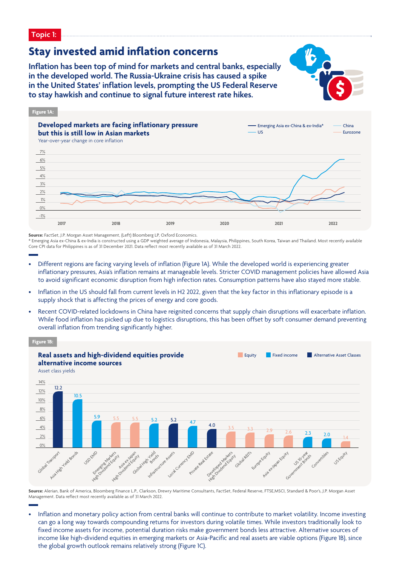**Topic 1:**

### **Stay invested amid inflation concerns**

**Inflation has been top of mind for markets and central banks, especially in the developed world. The Russia-Ukraine crisis has caused a spike in the United States' inflation levels, prompting the US Federal Reserve to stay hawkish and continue to signal future interest rate hikes.**





**Source:** FactSet, J.P. Morgan Asset Management, (Left) Bloomberg LP, Oxford Economics

\* Emerging Asia ex-China & ex-India is constructed using a GDP weighted average of Indonesia, Malaysia, Philippines, South Korea, Taiwan and Thailand. Most recently available Core CPI data for Philippines is as of 31 December 2021. Data reflect most recently available as of 31 March 2022.

- Different regions are facing varying levels of inflation (Figure 1A). While the developed world is experiencing greater inflationary pressures, Asia's inflation remains at manageable levels. Stricter COVID management policies have allowed Asia to avoid significant economic disruption from high infection rates. Consumption patterns have also stayed more stable.
- Inflation in the US should fall from current levels in H2 2022, given that the key factor in this inflationary episode is a supply shock that is affecting the prices of energy and core goods.
- Recent COVID-related lockdowns in China have reignited concerns that supply chain disruptions will exacerbate inflation. While food inflation has picked up due to logistics disruptions, this has been offset by soft consumer demand preventing overall inflation from trending significantly higher.



**Source:** Alerian, Bank of America, Bloomberg Finance L.P., Clarkson, Drewry Maritime Consultants, FactSet, Federal Reserve, FTSE,MSCI, Standard & Poor's, J.P. Morgan Asset Management. Data reflect most recently available as of 31 March 2022.

• Inflation and monetary policy action from central banks will continue to contribute to market volatility. Income investing can go a long way towards compounding returns for investors during volatile times. While investors traditionally look to fixed income assets for income, potential duration risks make government bonds less attractive. Alternative sources of income like high-dividend equities in emerging markets or Asia-Pacific and real assets are viable options (Figure 1B), since the global growth outlook remains relatively strong (Figure 1C).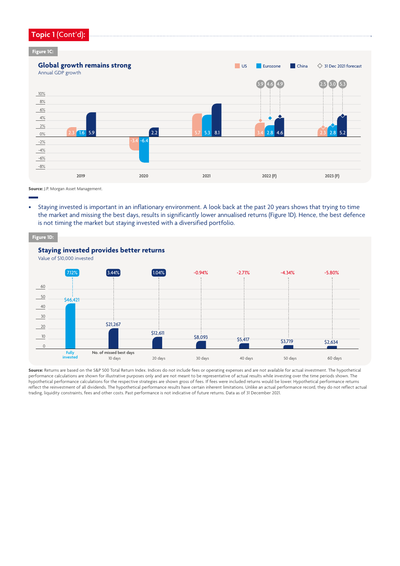#### **Topic 1** (Cont'd)**:**

#### **Figure 1C:**



**Source:** J.P. Morgan Asset Management.

• Staying invested is important in an inflationary environment. A look back at the past 20 years shows that trying to time the market and missing the best days, results in significantly lower annualised returns (Figure 1D). Hence, the best defence is not timing the market but staying invested with a diversified portfolio.



**Source:** Returns are based on the S&P 500 Total Return Index. Indices do not include fees or operating expenses and are not available for actual investment. The hypothetical performance calculations are shown for illustrative purposes only and are not meant to be representative of actual results while investing over the time periods shown. The hypothetical performance calculations for the respective strategies are shown gross of fees. If fees were included returns would be lower. Hypothetical performance returns reflect the reinvestment of all dividends. The hypothetical performance results have certain inherent limitations. Unlike an actual performance record, they do not reflect actual trading, liquidity constraints, fees and other costs. Past performance is not indicative of future returns. Data as of 31 December 2021.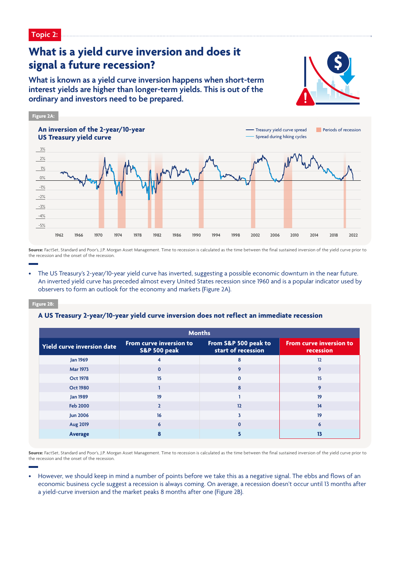## **What is a yield curve inversion and does it signal a future recession?**

**What is known as a yield curve inversion happens when short-term interest yields are higher than longer-term yields. This is out of the ordinary and investors need to be prepared.**





**Source:** FactSet, Standard and Poor's, J.P. Morgan Asset Management. Time to recession is calculated as the time between the final sustained inversion of the vield curve prior to the recession and the onset of the recession.

• The US Treasury's 2-year/10-year yield curve has inverted, suggesting a possible economic downturn in the near future. An inverted yield curve has preceded almost every United States recession since 1960 and is a popular indicator used by observers to form an outlook for the economy and markets (Figure 2A).

#### **Figure 2B:**

#### **A US Treasury 2-year/10-year yield curve inversion does not reflect an immediate recession**

| <b>Months</b>              |                                                    |                                            |                                             |  |  |
|----------------------------|----------------------------------------------------|--------------------------------------------|---------------------------------------------|--|--|
| Yield curve inversion date | From curve inversion to<br><b>S&amp;P 500 peak</b> | From S&P 500 peak to<br>start of recession | <b>From curve inversion to</b><br>recession |  |  |
| <b>Jan 1969</b>            | 4                                                  | 8                                          | 12                                          |  |  |
| <b>Mar 1973</b>            | $\mathbf 0$                                        | 9                                          | 9                                           |  |  |
| <b>Oct 1978</b>            | 15                                                 | $\Omega$                                   | 15                                          |  |  |
| <b>Oct 1980</b>            |                                                    | 8                                          | 9                                           |  |  |
| <b>Jan 1989</b>            | 19                                                 |                                            | 19                                          |  |  |
| <b>Feb 2000</b>            | $\overline{2}$                                     | 12                                         | 14                                          |  |  |
| <b>Jun 2006</b>            | 16                                                 | ٦                                          | 19                                          |  |  |
| <b>Aug 2019</b>            | 6                                                  | $\Omega$                                   | 6                                           |  |  |
| Average                    |                                                    |                                            |                                             |  |  |

**Source:** FactSet, Standard and Poor's, J.P. Morgan Asset Management. Time to recession is calculated as the time between the final sustained inversion of the yield curve prior to the recession and the onset of the recession.

• However, we should keep in mind a number of points before we take this as a negative signal. The ebbs and flows of an economic business cycle suggest a recession is always coming. On average, a recession doesn't occur until 13 months after a yield-curve inversion and the market peaks 8 months after one (Figure 2B).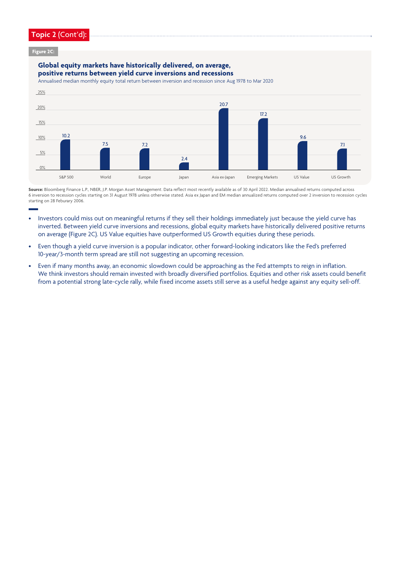#### **Topic 2** (Cont'd)**:**

**Figure 2C:** 

#### **Global equity markets have historically delivered, on average, positive returns between yield curve inversions and recessions**

Annualised median monthly equity total return between inversion and recession since Aug 1978 to Mar 2020



Source: Bloomberg Finance L.P., NBER, J.P. Morgan Asset Management. Data reflect most recently available as of 30 April 2022. Median annualised returns computed across 6 inversion to recession cycles starting on 31 August 1978 unless otherwise stated. Asia ex Japan and EM median annualized returns computed over 2 inversion to recession cycles starting on 28 Feburary 2006.

- Investors could miss out on meaningful returns if they sell their holdings immediately just because the yield curve has inverted. Between yield curve inversions and recessions, global equity markets have historically delivered positive returns on average (Figure 2C). US Value equities have outperformed US Growth equities during these periods.
- Even though a yield curve inversion is a popular indicator, other forward-looking indicators like the Fed's preferred 10-year/3-month term spread are still not suggesting an upcoming recession.
- Even if many months away, an economic slowdown could be approaching as the Fed attempts to reign in inflation. We think investors should remain invested with broadly diversified portfolios. Equities and other risk assets could benefit from a potential strong late-cycle rally, while fixed income assets still serve as a useful hedge against any equity sell-off.